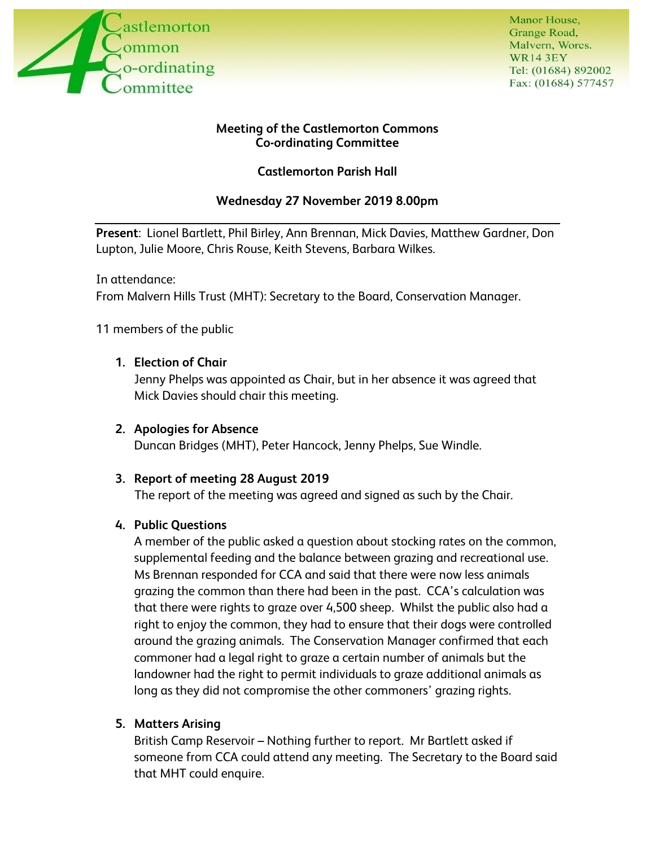

Manor House. Grange Road, Malvern, Worcs. **WR143EY** Tel: (01684) 892002 Fax: (01684) 577457

## **Meeting of the Castlemorton Commons Co-ordinating Committee**

## **Castlemorton Parish Hall**

## **Wednesday 27 November 2019 8.00pm**

**Present**: Lionel Bartlett, Phil Birley, Ann Brennan, Mick Davies, Matthew Gardner, Don Lupton, Julie Moore, Chris Rouse, Keith Stevens, Barbara Wilkes.

In attendance: From Malvern Hills Trust (MHT): Secretary to the Board, Conservation Manager.

11 members of the public

## **1. Election of Chair**

Jenny Phelps was appointed as Chair, but in her absence it was agreed that Mick Davies should chair this meeting.

## **2. Apologies for Absence**

Duncan Bridges (MHT), Peter Hancock, Jenny Phelps, Sue Windle.

## **3. Report of meeting 28 August 2019**

The report of the meeting was agreed and signed as such by the Chair.

## **4. Public Questions**

A member of the public asked a question about stocking rates on the common, supplemental feeding and the balance between grazing and recreational use. Ms Brennan responded for CCA and said that there were now less animals grazing the common than there had been in the past. CCA's calculation was that there were rights to graze over 4,500 sheep. Whilst the public also had a right to enjoy the common, they had to ensure that their dogs were controlled around the grazing animals. The Conservation Manager confirmed that each commoner had a legal right to graze a certain number of animals but the landowner had the right to permit individuals to graze additional animals as long as they did not compromise the other commoners' grazing rights.

## **5. Matters Arising**

British Camp Reservoir – Nothing further to report. Mr Bartlett asked if someone from CCA could attend any meeting. The Secretary to the Board said that MHT could enquire.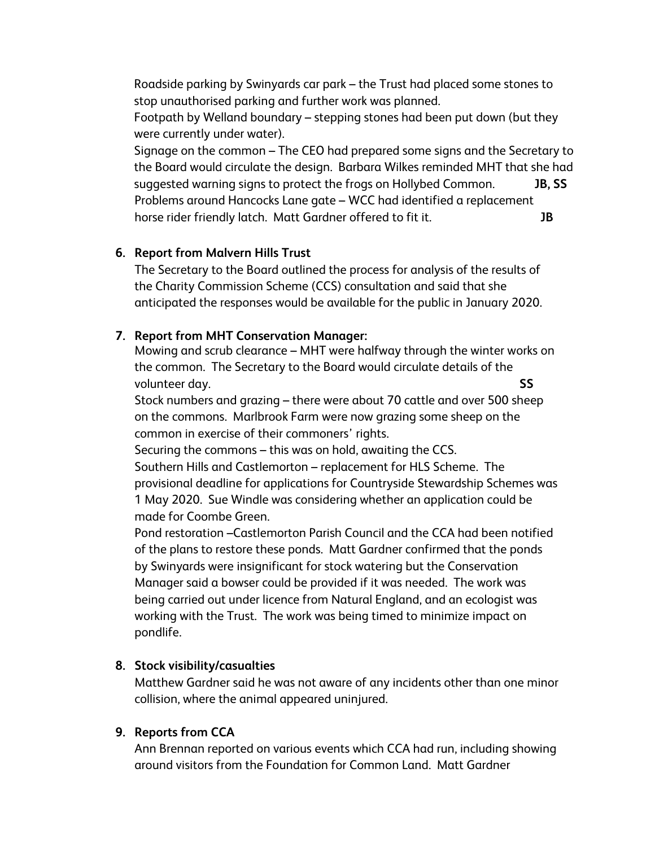Roadside parking by Swinyards car park – the Trust had placed some stones to stop unauthorised parking and further work was planned.

Footpath by Welland boundary – stepping stones had been put down (but they were currently under water).

Signage on the common – The CEO had prepared some signs and the Secretary to the Board would circulate the design. Barbara Wilkes reminded MHT that she had suggested warning signs to protect the frogs on Hollybed Common. **JB, SS** Problems around Hancocks Lane gate – WCC had identified a replacement horse rider friendly latch. Matt Gardner offered to fit it. **JB**

## **6. Report from Malvern Hills Trust**

The Secretary to the Board outlined the process for analysis of the results of the Charity Commission Scheme (CCS) consultation and said that she anticipated the responses would be available for the public in January 2020.

## **7. Report from MHT Conservation Manager:**

Mowing and scrub clearance – MHT were halfway through the winter works on the common. The Secretary to the Board would circulate details of the volunteer day. **SS**

Stock numbers and grazing – there were about 70 cattle and over 500 sheep on the commons. Marlbrook Farm were now grazing some sheep on the common in exercise of their commoners' rights.

Securing the commons – this was on hold, awaiting the CCS.

Southern Hills and Castlemorton – replacement for HLS Scheme. The provisional deadline for applications for Countryside Stewardship Schemes was 1 May 2020. Sue Windle was considering whether an application could be made for Coombe Green.

Pond restoration –Castlemorton Parish Council and the CCA had been notified of the plans to restore these ponds. Matt Gardner confirmed that the ponds by Swinyards were insignificant for stock watering but the Conservation Manager said a bowser could be provided if it was needed. The work was being carried out under licence from Natural England, and an ecologist was working with the Trust. The work was being timed to minimize impact on pondlife.

# **8. Stock visibility/casualties**

Matthew Gardner said he was not aware of any incidents other than one minor collision, where the animal appeared uninjured.

# **9. Reports from CCA**

Ann Brennan reported on various events which CCA had run, including showing around visitors from the Foundation for Common Land. Matt Gardner